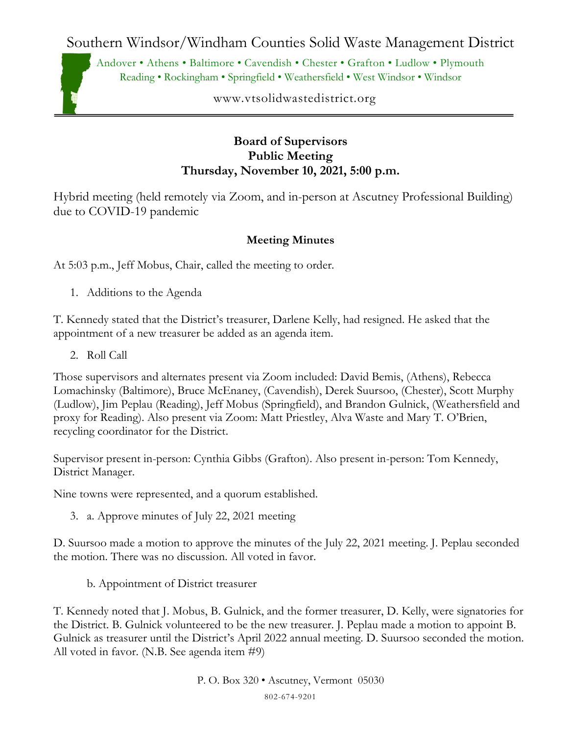Southern Windsor/Windham Counties Solid Waste Management District

Andover • Athens • Baltimore • Cavendish • Chester • Grafton • Ludlow • Plymouth Reading • Rockingham • Springfield • Weathersfield • West Windsor • Windsor

www.vtsolidwastedistrict.org

## **Board of Supervisors Public Meeting Thursday, November 10, 2021, 5:00 p.m.**

Hybrid meeting (held remotely via Zoom, and in-person at Ascutney Professional Building) due to COVID-19 pandemic

## **Meeting Minutes**

At 5:03 p.m., Jeff Mobus, Chair, called the meeting to order.

1. Additions to the Agenda

T. Kennedy stated that the District's treasurer, Darlene Kelly, had resigned. He asked that the appointment of a new treasurer be added as an agenda item.

2. Roll Call

Those supervisors and alternates present via Zoom included: David Bemis, (Athens), Rebecca Lomachinsky (Baltimore), Bruce McEnaney, (Cavendish), Derek Suursoo, (Chester), Scott Murphy (Ludlow), Jim Peplau (Reading), Jeff Mobus (Springfield), and Brandon Gulnick, (Weathersfield and proxy for Reading). Also present via Zoom: Matt Priestley, Alva Waste and Mary T. O'Brien, recycling coordinator for the District.

Supervisor present in-person: Cynthia Gibbs (Grafton). Also present in-person: Tom Kennedy, District Manager.

Nine towns were represented, and a quorum established.

3. a. Approve minutes of July 22, 2021 meeting

D. Suursoo made a motion to approve the minutes of the July 22, 2021 meeting. J. Peplau seconded the motion. There was no discussion. All voted in favor.

b. Appointment of District treasurer

T. Kennedy noted that J. Mobus, B. Gulnick, and the former treasurer, D. Kelly, were signatories for the District. B. Gulnick volunteered to be the new treasurer. J. Peplau made a motion to appoint B. Gulnick as treasurer until the District's April 2022 annual meeting. D. Suursoo seconded the motion. All voted in favor. (N.B. See agenda item #9)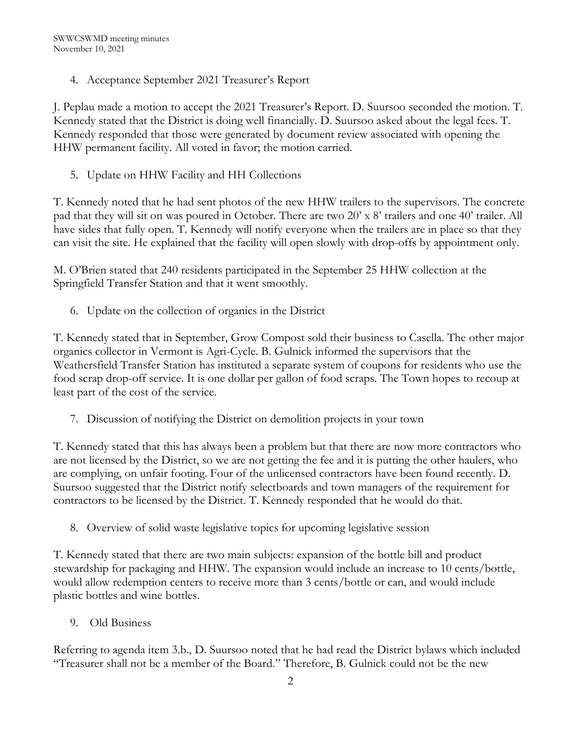4. Acceptance September 2021 Treasurer's Report

J. Peplau made a motion to accept the 2021 Treasurer's Report. D. Suursoo seconded the motion. T. Kennedy stated that the District is doing well financially. D. Suursoo asked about the legal fees. T. Kennedy responded that those were generated by document review associated with opening the HHW permanent facility. All voted in favor; the motion carried.

5. Update on HHW Facility and HH Collections

T. Kennedy noted that he had sent photos of the new HHW trailers to the supervisors. The concrete pad that they will sit on was poured in October. There are two 20' x 8' trailers and one 40' trailer. All have sides that fully open. T. Kennedy will notify everyone when the trailers are in place so that they can visit the site. He explained that the facility will open slowly with drop-offs by appointment only.

M. O'Brien stated that 240 residents participated in the September 25 HHW collection at the Springfield Transfer Station and that it went smoothly.

6. Update on the collection of organics in the District

T. Kennedy stated that in September, Grow Compost sold their business to Casella. The other major organics collector in Vermont is Agri-Cycle. B. Gulnick informed the supervisors that the Weathersfield Transfer Station has instituted a separate system of coupons for residents who use the food scrap drop-off service. It is one dollar per gallon of food scraps. The Town hopes to recoup at least part of the cost of the service.

7. Discussion of notifying the District on demolition projects in your town

T. Kennedy stated that this has always been a problem but that there are now more contractors who are not licensed by the District, so we are not getting the fee and it is putting the other haulers, who are complying, on unfair footing. Four of the unlicensed contractors have been found recently. D. Suursoo suggested that the District notify selectboards and town managers of the requirement for contractors to be licensed by the District. T. Kennedy responded that he would do that.

8. Overview of solid waste legislative topics for upcoming legislative session

T. Kennedy stated that there are two main subjects: expansion of the bottle bill and product stewardship for packaging and HHW. The expansion would include an increase to 10 cents/bottle, would allow redemption centers to receive more than 3 cents/bottle or can, and would include plastic bottles and wine bottles.

9. Old Business

Referring to agenda item 3.b., D. Suursoo noted that he had read the District bylaws which included "Treasurer shall not be a member of the Board." Therefore, B. Gulnick could not be the new